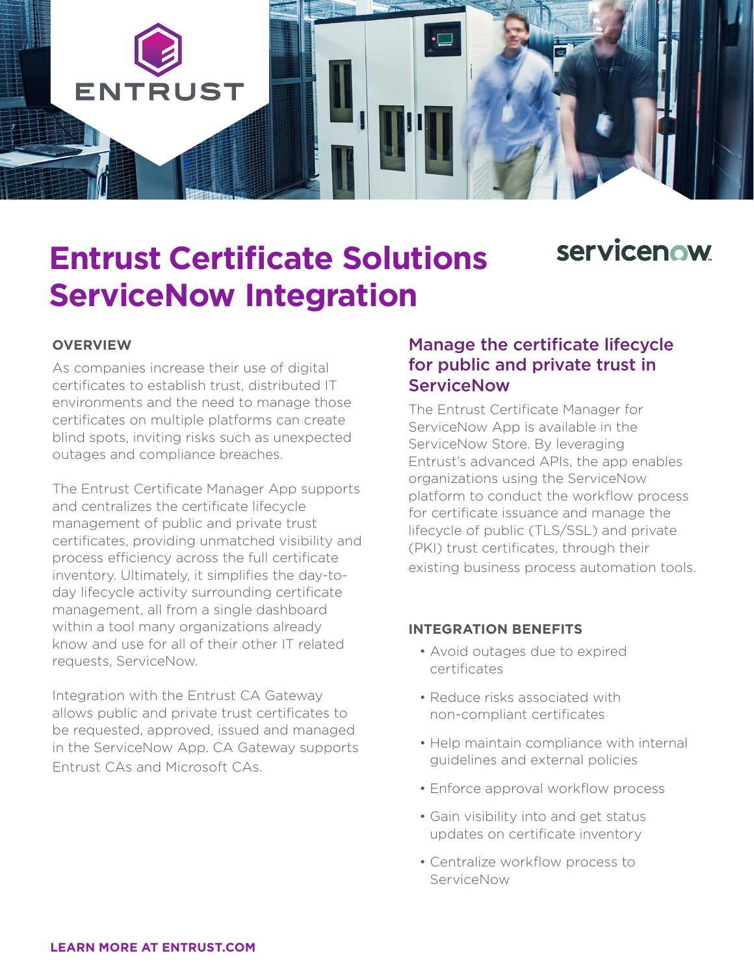

# **servicenow**

# **Entrust Certificate Solutions ServiceNow Integration**

#### **OVERVIEW**

As companies increase their use of digital certificates to establish trust, distributed IT environments and the need to manage those certificates on multiple platforms can create blind spots, inviting risks such as unexpected outages and compliance breaches.

The Entrust Certificate Manager App supports and centralizes the certificate lifecycle management of public and private trust certificates, providing unmatched visibility and process efficiency across the full certificate inventory. Ultimately, it simplifies the day-today lifecycle activity surrounding certificate management, all from a single dashboard within a tool many organizations already know and use for all of their other IT related requests, ServiceNow.

Integration with the Entrust CA Gateway allows public and private trust certificates to be requested, approved, issued and managed in the ServiceNow App. CA Gateway supports Entrust CAs and Microsoft CAs.

#### Manage the certificate lifecycle for public and private trust in **ServiceNow**

The Entrust Certificate Manager for ServiceNow App is available in the ServiceNow Store. By leveraging Entrust's advanced APIs, the app enables organizations using the ServiceNow platform to conduct the workflow process for certificate issuance and manage the lifecycle of public (TLS/SSL) and private (PKI) trust certificates, through their existing business process automation tools.

#### **INTEGRATION BENEFITS**

- Avoid outages due to expired certificates
- Reduce risks associated with non-compliant certificates
- Help maintain compliance with internal guidelines and external policies
- Enforce approval workflow process
- Gain visibility into and get status updates on certificate inventory
- Centralize workflow process to ServiceNow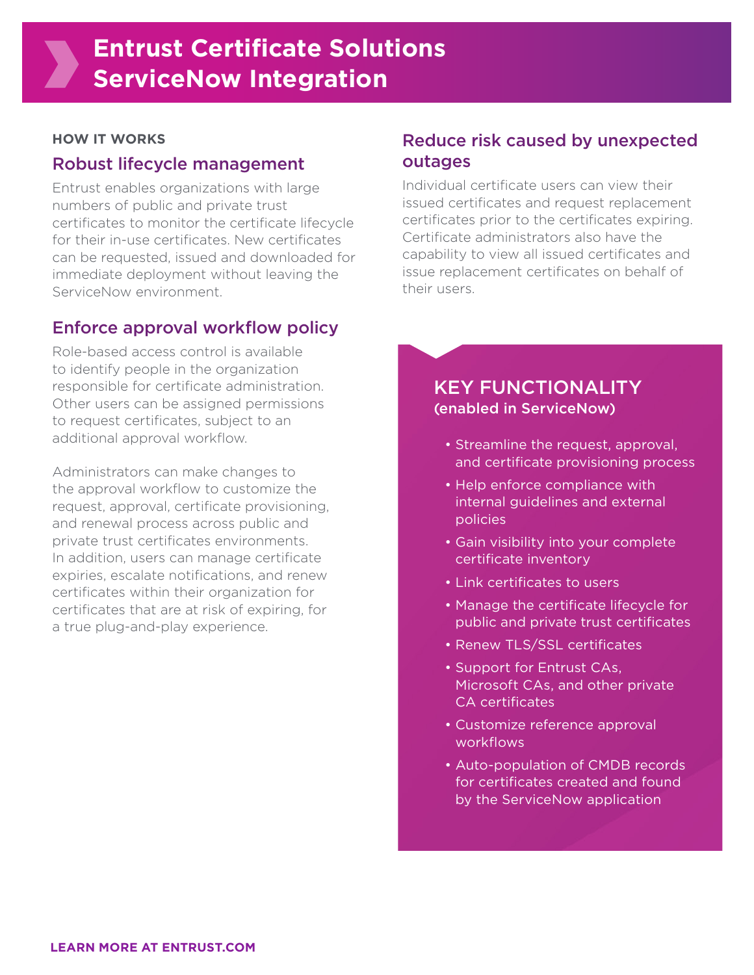## **Entrust Certificate Solutions ServiceNow Integration**

#### **HOW IT WORKS**

#### Robust lifecycle management

Entrust enables organizations with large numbers of public and private trust certificates to monitor the certificate lifecycle for their in-use certificates. New certificates can be requested, issued and downloaded for immediate deployment without leaving the ServiceNow environment.

#### Enforce approval workflow policy

Role-based access control is available to identify people in the organization responsible for certificate administration. Other users can be assigned permissions to request certificates, subject to an additional approval workflow.

Administrators can make changes to the approval workflow to customize the request, approval, certificate provisioning, and renewal process across public and private trust certificates environments. In addition, users can manage certificate expiries, escalate notifications, and renew certificates within their organization for certificates that are at risk of expiring, for a true plug-and-play experience.

## Reduce risk caused by unexpected outages

Individual certificate users can view their issued certificates and request replacement certificates prior to the certificates expiring. Certificate administrators also have the capability to view all issued certificates and issue replacement certificates on behalf of their users.

## KEY FUNCTIONALITY (enabled in ServiceNow)

- Streamline the request, approval, and certificate provisioning process
- Help enforce compliance with internal guidelines and external policies
- Gain visibility into your complete certificate inventory
- Link certificates to users
- Manage the certificate lifecycle for public and private trust certificates
- Renew TLS/SSL certificates
- Support for Entrust CAs, Microsoft CAs, and other private CA certificates
- Customize reference approval workflows
- Auto-population of CMDB records for certificates created and found by the ServiceNow application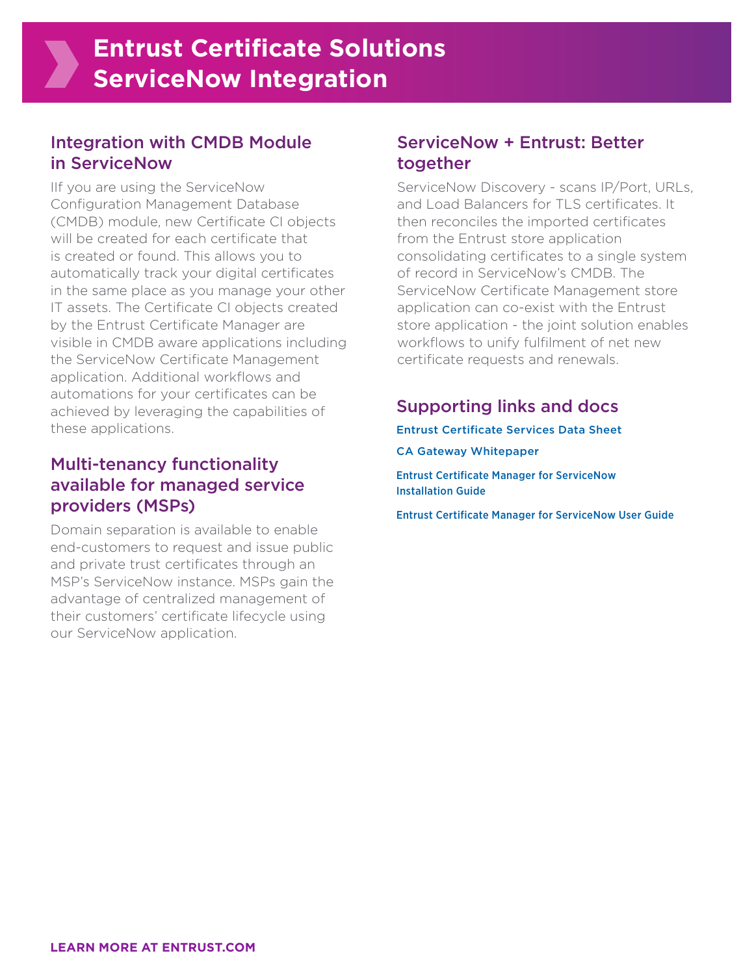## **Entrust Certificate Solutions ServiceNow Integration**

#### Integration with CMDB Module in ServiceNow

IIf you are using the ServiceNow Configuration Management Database (CMDB) module, new Certificate CI objects will be created for each certificate that is created or found. This allows you to automatically track your digital certificates in the same place as you manage your other IT assets. The Certificate CI objects created by the Entrust Certificate Manager are visible in CMDB aware applications including the ServiceNow Certificate Management application. Additional workflows and automations for your certificates can be achieved by leveraging the capabilities of these applications.

## Multi-tenancy functionality available for managed service providers (MSPs)

Domain separation is available to enable end-customers to request and issue public and private trust certificates through an MSP's ServiceNow instance. MSPs gain the advantage of centralized management of their customers' certificate lifecycle using our ServiceNow application.

### ServiceNow + Entrust: Better together

ServiceNow Discovery - scans IP/Port, URLs, and Load Balancers for TLS certificates. It then reconciles the imported certificates from the Entrust store application consolidating certificates to a single system of record in ServiceNow's CMDB. The ServiceNow Certificate Management store application can co-exist with the Entrust store application - the joint solution enables workflows to unify fulfilment of net new certificate requests and renewals.

### Supporting links and docs

[Entrust Certificate Services Data Sheet](https://www.entrust.com/-/media/documentation/datasheets/entrust-certificate-services-platform-ds.pdf) [CA Gateway Whitepaper](https://www.entrust.com/blog/2019/august/-/media/documentation/whitepapers/pk20-1001-001_pki_rest_api_wp.pdf)

[Entrust Certificate Manager for ServiceNow](https://web.entrustdatacard.com/public/servicenow/ECS-SVN_installation_guide_2_0.pdf)  [Installation Guide](https://web.entrustdatacard.com/public/servicenow/ECS-SVN_installation_guide_2_0.pdf)

[Entrust Certificate Manager for ServiceNow User Guide](https://web.entrustdatacard.com/public/servicenow/ECS-SVN_user_guide_2_0.pdf)